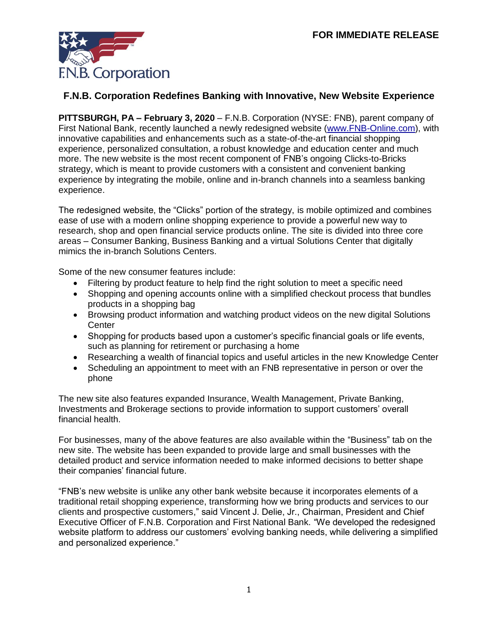

## **F.N.B. Corporation Redefines Banking with Innovative, New Website Experience**

**PITTSBURGH, PA – February 3, 2020** – F.N.B. Corporation (NYSE: FNB), parent company of First National Bank, recently launched a newly redesigned website [\(www.FNB-Online.com\)](http://www.fnb-online.com/), with innovative capabilities and enhancements such as a state-of-the-art financial shopping experience, personalized consultation, a robust knowledge and education center and much more. The new website is the most recent component of FNB's ongoing Clicks-to-Bricks strategy, which is meant to provide customers with a consistent and convenient banking experience by integrating the mobile, online and in-branch channels into a seamless banking experience.

The redesigned website, the "Clicks" portion of the strategy, is mobile optimized and combines ease of use with a modern online shopping experience to provide a powerful new way to research, shop and open financial service products online. The site is divided into three core areas – Consumer Banking, Business Banking and a virtual Solutions Center that digitally mimics the in-branch Solutions Centers.

Some of the new consumer features include:

- Filtering by product feature to help find the right solution to meet a specific need
- Shopping and opening accounts online with a simplified checkout process that bundles products in a shopping bag
- Browsing product information and watching product videos on the new digital Solutions **Center**
- Shopping for products based upon a customer's specific financial goals or life events, such as planning for retirement or purchasing a home
- Researching a wealth of financial topics and useful articles in the new Knowledge Center
- Scheduling an appointment to meet with an FNB representative in person or over the phone

The new site also features expanded Insurance, Wealth Management, Private Banking, Investments and Brokerage sections to provide information to support customers' overall financial health.

For businesses, many of the above features are also available within the "Business" tab on the new site. The website has been expanded to provide large and small businesses with the detailed product and service information needed to make informed decisions to better shape their companies' financial future.

"FNB's new website is unlike any other bank website because it incorporates elements of a traditional retail shopping experience, transforming how we bring products and services to our clients and prospective customers," said Vincent J. Delie, Jr., Chairman, President and Chief Executive Officer of F.N.B. Corporation and First National Bank. "We developed the redesigned website platform to address our customers' evolving banking needs, while delivering a simplified and personalized experience."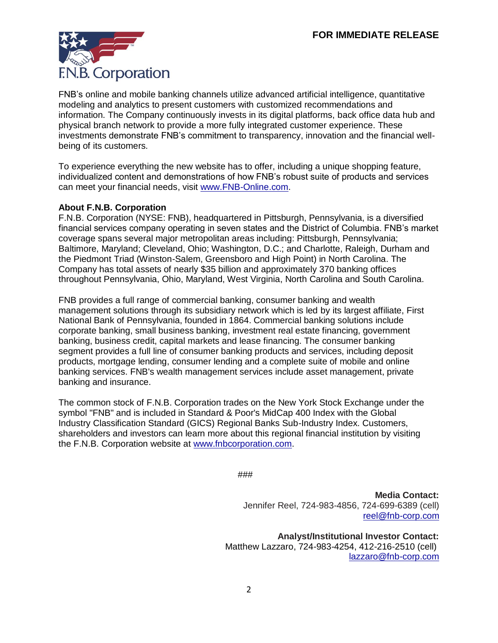

FNB's online and mobile banking channels utilize advanced artificial intelligence, quantitative modeling and analytics to present customers with customized recommendations and information. The Company continuously invests in its digital platforms, back office data hub and physical branch network to provide a more fully integrated customer experience. These investments demonstrate FNB's commitment to transparency, innovation and the financial wellbeing of its customers.

To experience everything the new website has to offer, including a unique shopping feature, individualized content and demonstrations of how FNB's robust suite of products and services can meet your financial needs, visit [www.FNB-Online.com.](http://www.fnb-online.com/)

## **About F.N.B. Corporation**

F.N.B. Corporation (NYSE: FNB), headquartered in Pittsburgh, Pennsylvania, is a diversified financial services company operating in seven states and the District of Columbia. FNB's market coverage spans several major metropolitan areas including: Pittsburgh, Pennsylvania; Baltimore, Maryland; Cleveland, Ohio; Washington, D.C.; and Charlotte, Raleigh, Durham and the Piedmont Triad (Winston-Salem, Greensboro and High Point) in North Carolina. The Company has total assets of nearly \$35 billion and approximately 370 banking offices throughout Pennsylvania, Ohio, Maryland, West Virginia, North Carolina and South Carolina.

FNB provides a full range of commercial banking, consumer banking and wealth management solutions through its subsidiary network which is led by its largest affiliate, First National Bank of Pennsylvania, founded in 1864. Commercial banking solutions include corporate banking, small business banking, investment real estate financing, government banking, business credit, capital markets and lease financing. The consumer banking segment provides a full line of consumer banking products and services, including deposit products, mortgage lending, consumer lending and a complete suite of mobile and online banking services. FNB's wealth management services include asset management, private banking and insurance.

The common stock of F.N.B. Corporation trades on the New York Stock Exchange under the symbol "FNB" and is included in Standard & Poor's MidCap 400 Index with the Global Industry Classification Standard (GICS) Regional Banks Sub-Industry Index. Customers, shareholders and investors can learn more about this regional financial institution by visiting the F.N.B. Corporation website at [www.fnbcorporation.com.](http://www.fnbcorporation.com/)

###

**Media Contact:** Jennifer Reel, 724-983-4856, 724-699-6389 (cell) [reel@fnb-corp.com](mailto:reel@fnb-corp.com)

**Analyst/Institutional Investor Contact:**  Matthew Lazzaro, 724-983-4254, 412-216-2510 (cell) [lazzaro@fnb-corp.com](mailto:lazzaro@fnb-corp.com)